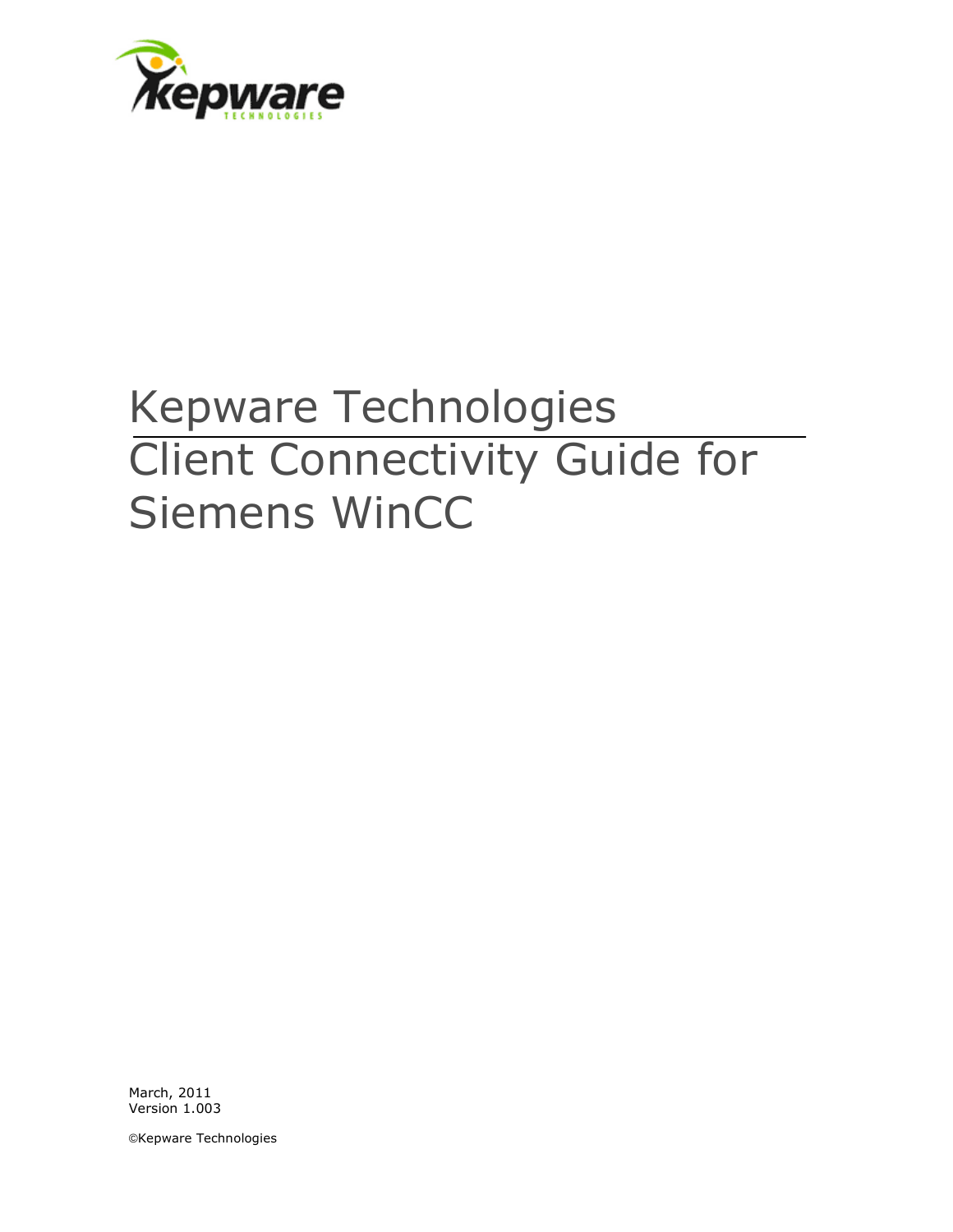

## Kepware Technologies Client Connectivity Guide for Siemens WinCC

March, 2011 Version 1.003

©Kepware Technologies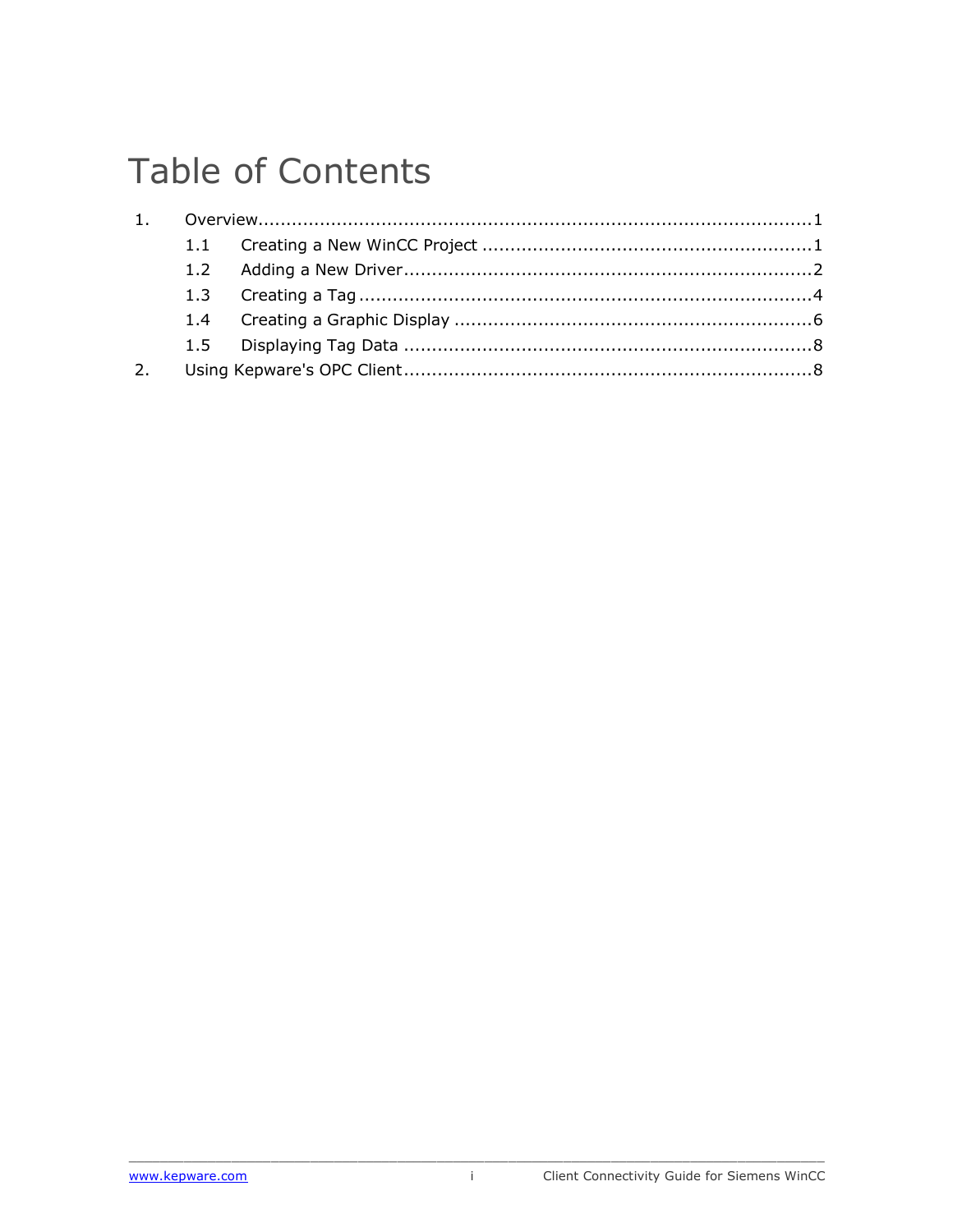## **Table of Contents**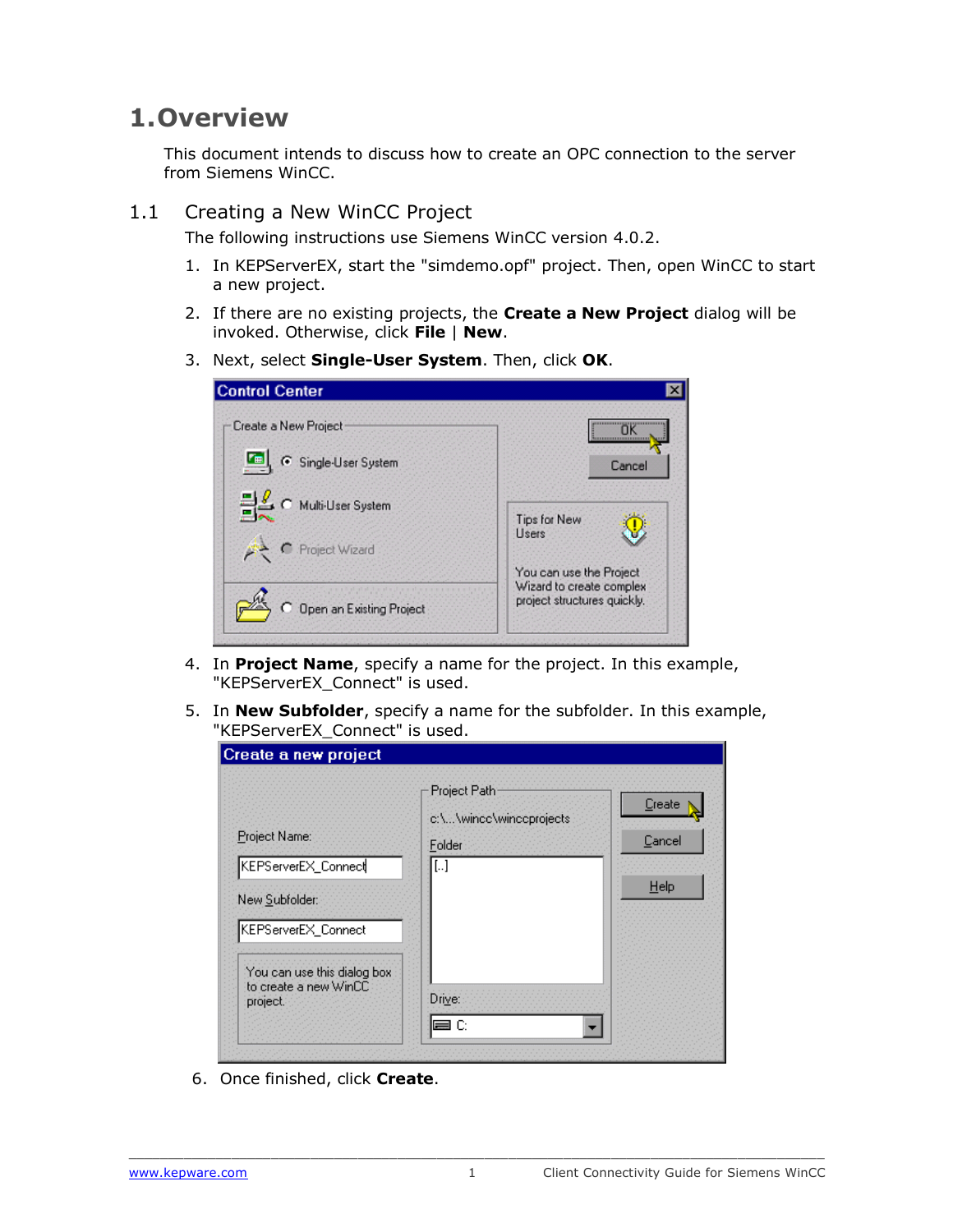## <span id="page-2-0"></span>**1.Overview**

This document intends to discuss how to create an OPC connection to the server from Siemens WinCC.

<span id="page-2-1"></span>1.1 Creating a New WinCC Project

The following instructions use Siemens WinCC version 4.0.2.

- 1. In KEPServerEX, start the "simdemo.opf" project. Then, open WinCC to start a new project.
- 2. If there are no existing projects, the **Create a New Project** dialog will be invoked. Otherwise, click **File** | **New**.
- 3. Next, select **Single-User System**. Then, click **OK**.

| <b>Control Center</b>    |                                                                                    |
|--------------------------|------------------------------------------------------------------------------------|
| Create a New Project     | пκ                                                                                 |
| <b>Tel</b>               |                                                                                    |
| G Single-User System     | Cancel                                                                             |
| C Multi-User System      | Tips for New                                                                       |
| Project Wizard           | Users                                                                              |
| Open an Existing Project | You can use the Project<br>Wizard to create complex<br>project structures quickly. |

- 4. In **Project Name**, specify a name for the project. In this example, "KEPServerEX\_Connect" is used.
- 5. In **New Subfolder**, specify a name for the subfolder. In this example, "KEPServerEX\_Connect" is used.

| Create a new project                                                          |                                                                              |                        |  |  |
|-------------------------------------------------------------------------------|------------------------------------------------------------------------------|------------------------|--|--|
| Project Name:<br>KEPServerEX_Connect<br>New Subfolder:<br>KEPServerEX_Connect | Project Path<br>c:\\wincc\winccprojects<br>Földer<br>$\left[ \ldots \right]$ | Create<br>Cancel<br>He |  |  |
| You can use this dialog box<br>to create a new WinCC<br>project.              | Drive:<br>≡C                                                                 |                        |  |  |

6. Once finished, click **Create**.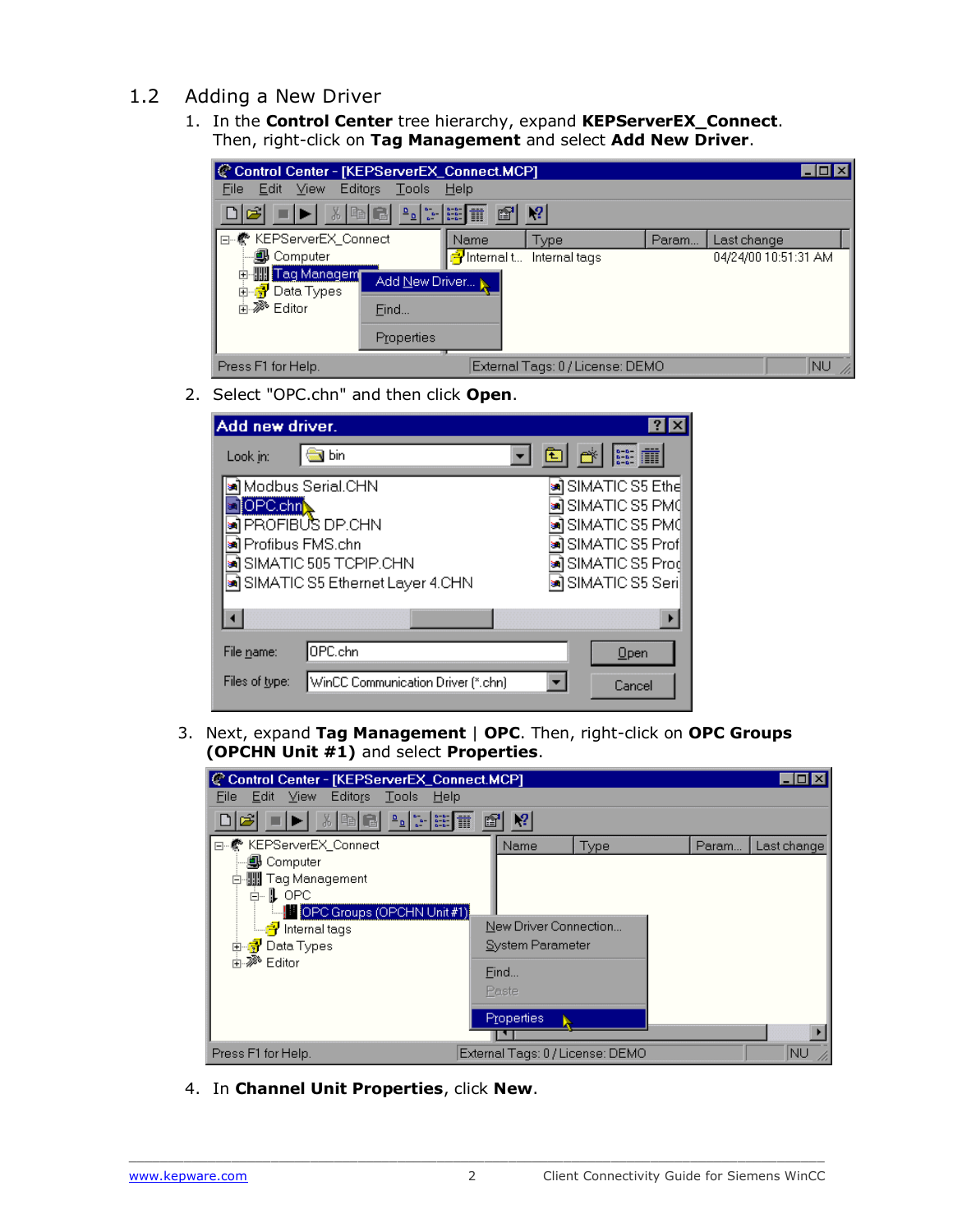- <span id="page-3-0"></span>1.2 Adding a New Driver
	- 1. In the **Control Center** tree hierarchy, expand **KEPServerEX\_Connect**. Then, right-click on **Tag Management** and select **Add New Driver**.



2. Select "OPC.chn" and then click **Open**.

| Add new driver.                                      |                                          |  |  |  |  |
|------------------------------------------------------|------------------------------------------|--|--|--|--|
| bin<br>Look in:                                      |                                          |  |  |  |  |
| <b>∍i</b> l Modbus Serial.CHN                        | <b>sa</b> ] SIMATIC S5 Ethe∣             |  |  |  |  |
| OPC.chn                                              | <u>∍</u> ] SIMATIC S5 PM0                |  |  |  |  |
| PROFIBUS DP.CHN<br>Profibus FMS.chn                  | ≋Ì SIMATIC S5 PM0<br>∍il SIMATIC S5 Prof |  |  |  |  |
| SIMATIC 505 TCPIP.CHN                                | ≢Ì SIMATIC S5 Prod                       |  |  |  |  |
| an SIMATIC S5 Ethernet Layer 4.CHN                   | ≋Ì SIMATIC S5 Seri                       |  |  |  |  |
|                                                      |                                          |  |  |  |  |
| OPC.chn<br>File name:                                | Open                                     |  |  |  |  |
| WinCC Communication Driver (*.chn)<br>Files of type: | Cancel                                   |  |  |  |  |

3. Next, expand **Tag Management** | **OPC**. Then, right-click on **OPC Groups (OPCHN Unit #1)** and select **Properties**.

| C Control Center - [KEPServerEX_Connect.MCP]                                                                                                                                                                                                                                                                                                                                                                                                                                                                                                                                                                                                              |            |                  |                                  |       |             |
|-----------------------------------------------------------------------------------------------------------------------------------------------------------------------------------------------------------------------------------------------------------------------------------------------------------------------------------------------------------------------------------------------------------------------------------------------------------------------------------------------------------------------------------------------------------------------------------------------------------------------------------------------------------|------------|------------------|----------------------------------|-------|-------------|
| Edit View Editors<br>Tools Help<br>File                                                                                                                                                                                                                                                                                                                                                                                                                                                                                                                                                                                                                   |            |                  |                                  |       |             |
| $\begin{array}{ c c c c c }\hline \Delta & \Delta & \Delta & \Delta & \Delta \\ \hline \Delta & \Delta & \Delta & \Delta & \Delta \\ \hline \Delta & \Delta & \Delta & \Delta & \Delta \\ \hline \Delta & \Delta & \Delta & \Delta & \Delta \\ \hline \Delta & \Delta & \Delta & \Delta & \Delta \\ \hline \Delta & \Delta & \Delta & \Delta & \Delta \\ \hline \Delta & \Delta & \Delta & \Delta & \Delta \\ \hline \Delta & \Delta & \Delta & \Delta & \Delta \\ \hline \Delta & \Delta & \Delta & \Delta & \Delta \\ \hline \Delta & \Delta & \Delta & \Delta & \Delta \\ \hline \Delta & \Delta & \Delta & \Delta & \Delta \\ \hline \Delta &$<br>太阳日 | f          | q                |                                  |       |             |
| □…< ※ KEPServerEX Connect                                                                                                                                                                                                                                                                                                                                                                                                                                                                                                                                                                                                                                 |            | Name             | Type                             | Param | Last change |
| … <mark>@</mark> } Computer                                                                                                                                                                                                                                                                                                                                                                                                                                                                                                                                                                                                                               |            |                  |                                  |       |             |
|                                                                                                                                                                                                                                                                                                                                                                                                                                                                                                                                                                                                                                                           |            |                  |                                  |       |             |
| ∄⊹‼LOPC                                                                                                                                                                                                                                                                                                                                                                                                                                                                                                                                                                                                                                                   |            |                  |                                  |       |             |
| <b>In OPC Groups (OPCHN Unit#1)</b>                                                                                                                                                                                                                                                                                                                                                                                                                                                                                                                                                                                                                       |            |                  |                                  |       |             |
| <u>- <mark>구</mark> Internal</u> tags                                                                                                                                                                                                                                                                                                                                                                                                                                                                                                                                                                                                                     |            |                  | New Driver Connection            |       |             |
| 由 <mark>予</mark> Data Types                                                                                                                                                                                                                                                                                                                                                                                                                                                                                                                                                                                                                               |            | System Parameter |                                  |       |             |
| 中, <sup>≫</sup> Editor                                                                                                                                                                                                                                                                                                                                                                                                                                                                                                                                                                                                                                    | Find       |                  |                                  |       |             |
|                                                                                                                                                                                                                                                                                                                                                                                                                                                                                                                                                                                                                                                           |            |                  |                                  |       |             |
|                                                                                                                                                                                                                                                                                                                                                                                                                                                                                                                                                                                                                                                           | Paste      |                  |                                  |       |             |
|                                                                                                                                                                                                                                                                                                                                                                                                                                                                                                                                                                                                                                                           | Properties |                  |                                  |       |             |
|                                                                                                                                                                                                                                                                                                                                                                                                                                                                                                                                                                                                                                                           |            |                  |                                  |       |             |
| Press F1 for Help.                                                                                                                                                                                                                                                                                                                                                                                                                                                                                                                                                                                                                                        |            |                  | External Tags: 0 / License: DEMO |       | NU)         |

4. In **Channel Unit Properties**, click **New**.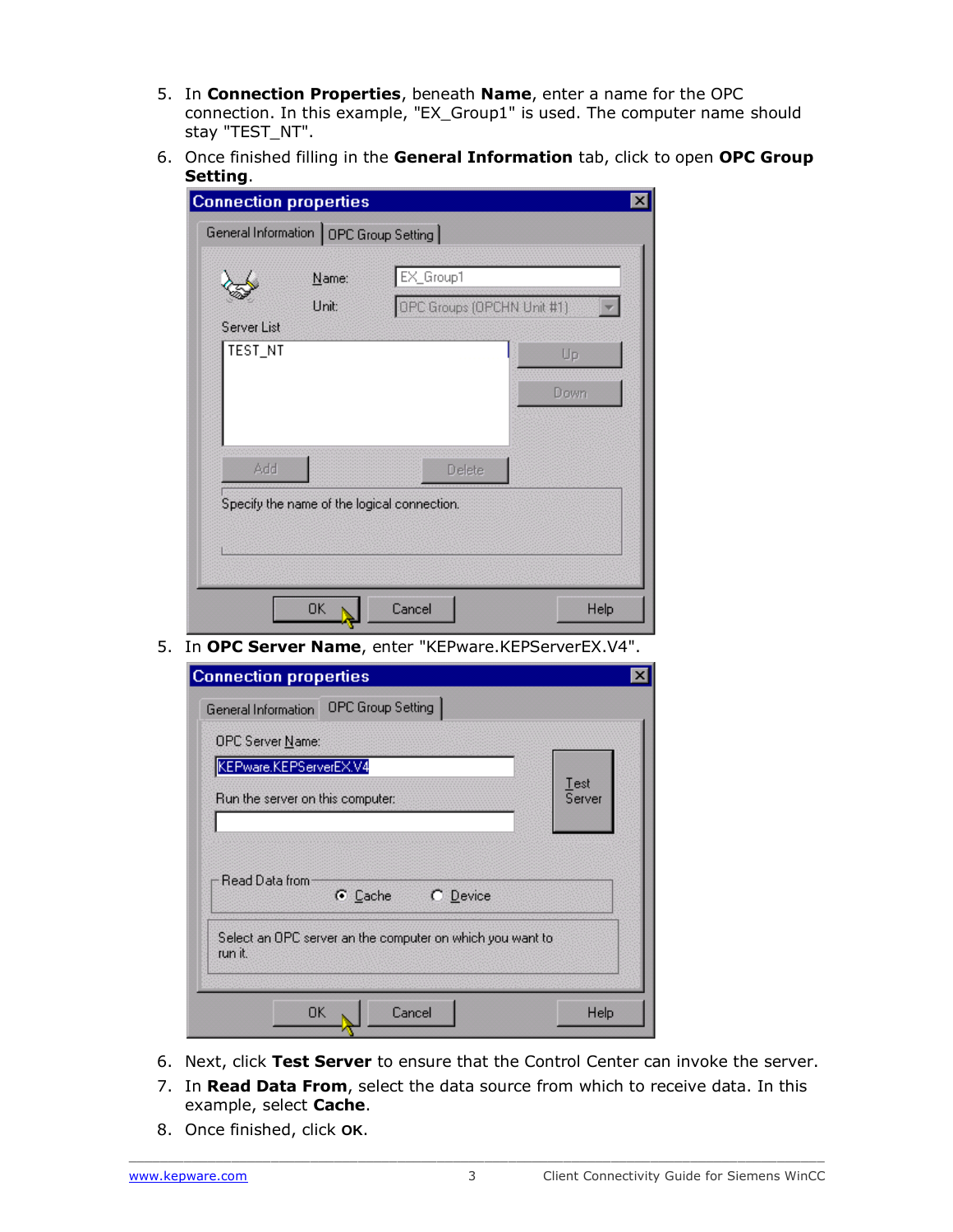- 5. In **Connection Properties**, beneath **Name**, enter a name for the OPC connection. In this example, "EX\_Group1" is used. The computer name should stay "TEST\_NT".
- 6. Once finished filling in the **General Information** tab, click to open **OPC Group Setting**.

| <b>Connection properties</b>            |                |                                             | $\times$ |
|-----------------------------------------|----------------|---------------------------------------------|----------|
| General Information   OPC Group Setting |                |                                             |          |
|                                         | Name:<br>Unit: | EX_Group1<br>OPC Groups (OPCHN Unit #1)     |          |
| Server List<br>TEST_NT                  |                |                                             | Up       |
|                                         |                |                                             | Down     |
| Add                                     |                | Delete                                      |          |
|                                         |                | Specify the name of the logical connection. |          |
|                                         |                |                                             |          |
|                                         | 0K             | Cancel                                      | Help     |

5. In **OPC Server Name**, enter "KEPware.KEPServerEX.V4".

| <b>Connection properties</b>                                                                                  |                |
|---------------------------------------------------------------------------------------------------------------|----------------|
| OPC Group Setting<br>General Information                                                                      |                |
| OPC Server Name:                                                                                              |                |
| KEPware.KEPServerEX.V4                                                                                        |                |
| Run the server on this computer:                                                                              | Test<br>Server |
|                                                                                                               |                |
| Read Data from<br>C Cache<br>C Device<br>Select an OPC server an the computer on which you want to<br>run it. |                |
| Cancel<br>0K                                                                                                  | Help           |

- 6. Next, click **Test Server** to ensure that the Control Center can invoke the server.
- 7. In **Read Data From**, select the data source from which to receive data. In this example, select **Cache**.
- 8. Once finished, click **OK**.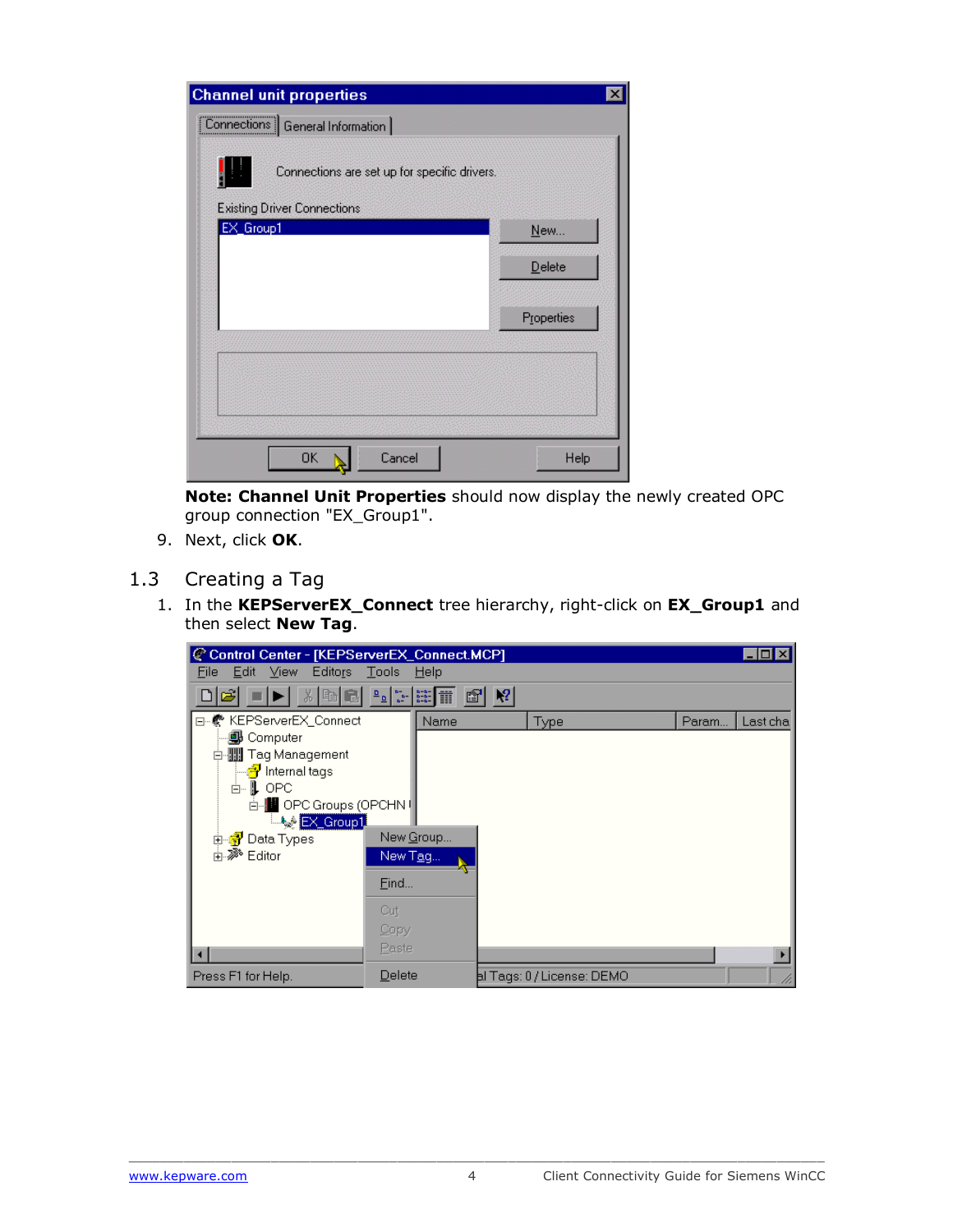| <b>Channel unit properties</b>                                                     | $\boldsymbol{\mathsf{x}}$ |
|------------------------------------------------------------------------------------|---------------------------|
| Connections   General Information                                                  |                           |
| Connections are set up for specific drivers.<br><b>Existing Driver Connections</b> |                           |
| EX_Group1                                                                          | New                       |
|                                                                                    | Delete                    |
|                                                                                    | Properties                |
|                                                                                    |                           |
|                                                                                    |                           |
| <b>OK</b><br>Cancel                                                                | Help                      |

**Note: Channel Unit Properties** should now display the newly created OPC group connection "EX\_Group1".

- 9. Next, click **OK**.
- <span id="page-5-0"></span>1.3 Creating a Tag
	- 1. In the **KEPServerEX\_Connect** tree hierarchy, right-click on **EX\_Group1** and then select **New Tag**.

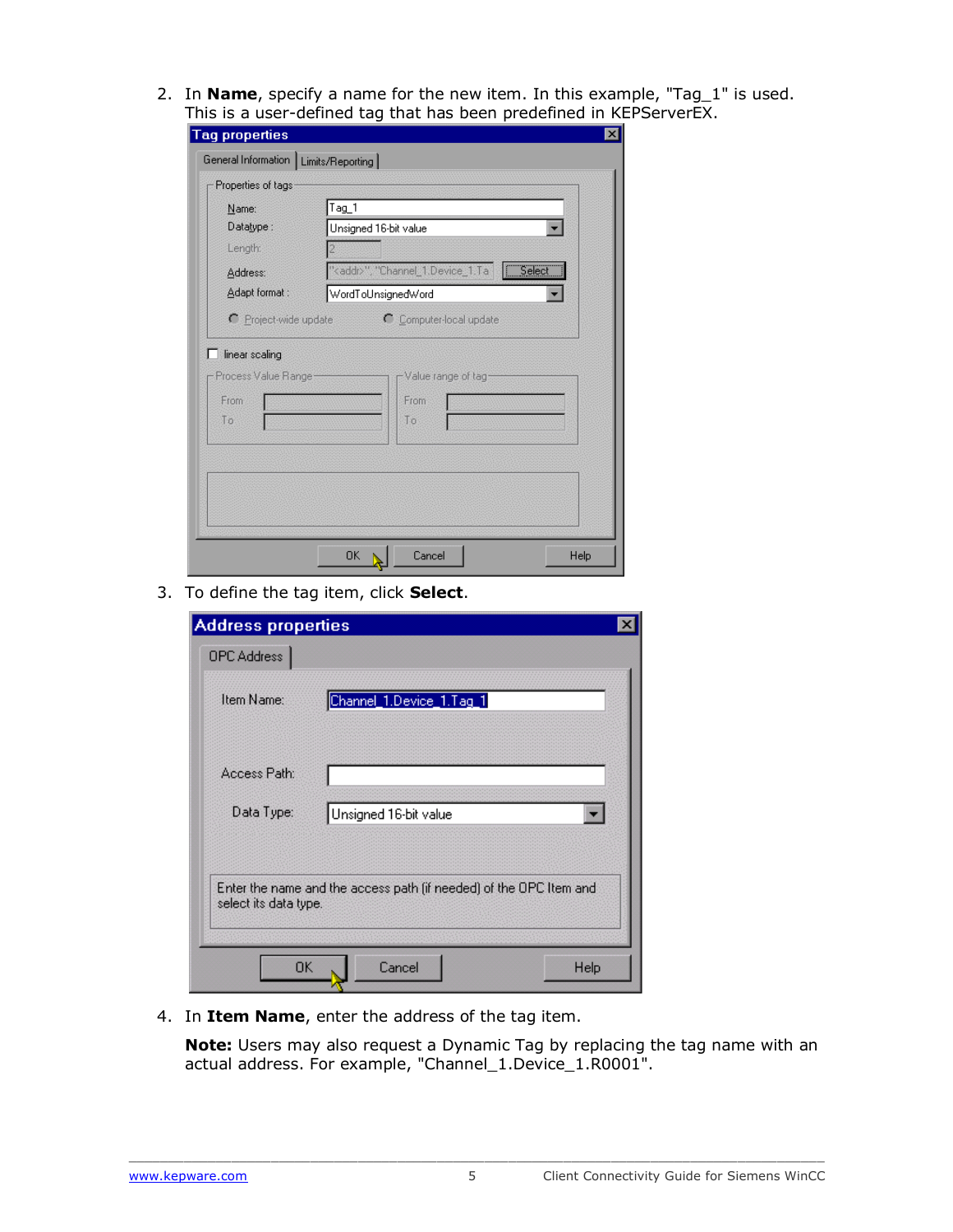2. In **Name**, specify a name for the new item. In this example, "Tag\_1" is used. This is a user-defined tag that has been predefined in KEPServerEX.

| <b>Tag properties</b>                                |                                                     |      |
|------------------------------------------------------|-----------------------------------------------------|------|
| General Information   Limits/Reporting               |                                                     |      |
| Properties of tags                                   |                                                     |      |
| Name:                                                | Tag_1                                               |      |
| Datatype:                                            | Unsigned 16-bit value                               |      |
| Length:                                              |                                                     |      |
| Address:                                             | " <addr>", "Channel_1.Device_1.Ta<br/>Select</addr> |      |
| Adapt format:                                        | WordToUnsignedWord                                  |      |
| linear scaling<br>Process Value Range-<br>From<br>丁方 | -Value range of tag<br>From<br>Ťο                   |      |
|                                                      |                                                     |      |
|                                                      | 0K<br>Cancel                                        | Help |

3. To define the tag item, click **Select**.

| <b>Address properties</b> |                                                                    |      |  |  |  |
|---------------------------|--------------------------------------------------------------------|------|--|--|--|
| OPC Address               |                                                                    |      |  |  |  |
| Item Name:                | Channel_1.Device_1.Tag_1                                           |      |  |  |  |
| Access Path:              |                                                                    |      |  |  |  |
| Data Type:                | Unsigned 16-bit value                                              |      |  |  |  |
| select its data type.     | Enter the name and the access path (if needed) of the OPC Item and |      |  |  |  |
| 0K                        | Cancel                                                             | Help |  |  |  |

4. In **Item Name**, enter the address of the tag item.

**Note:** Users may also request a Dynamic Tag by replacing the tag name with an actual address. For example, "Channel\_1.Device\_1.R0001".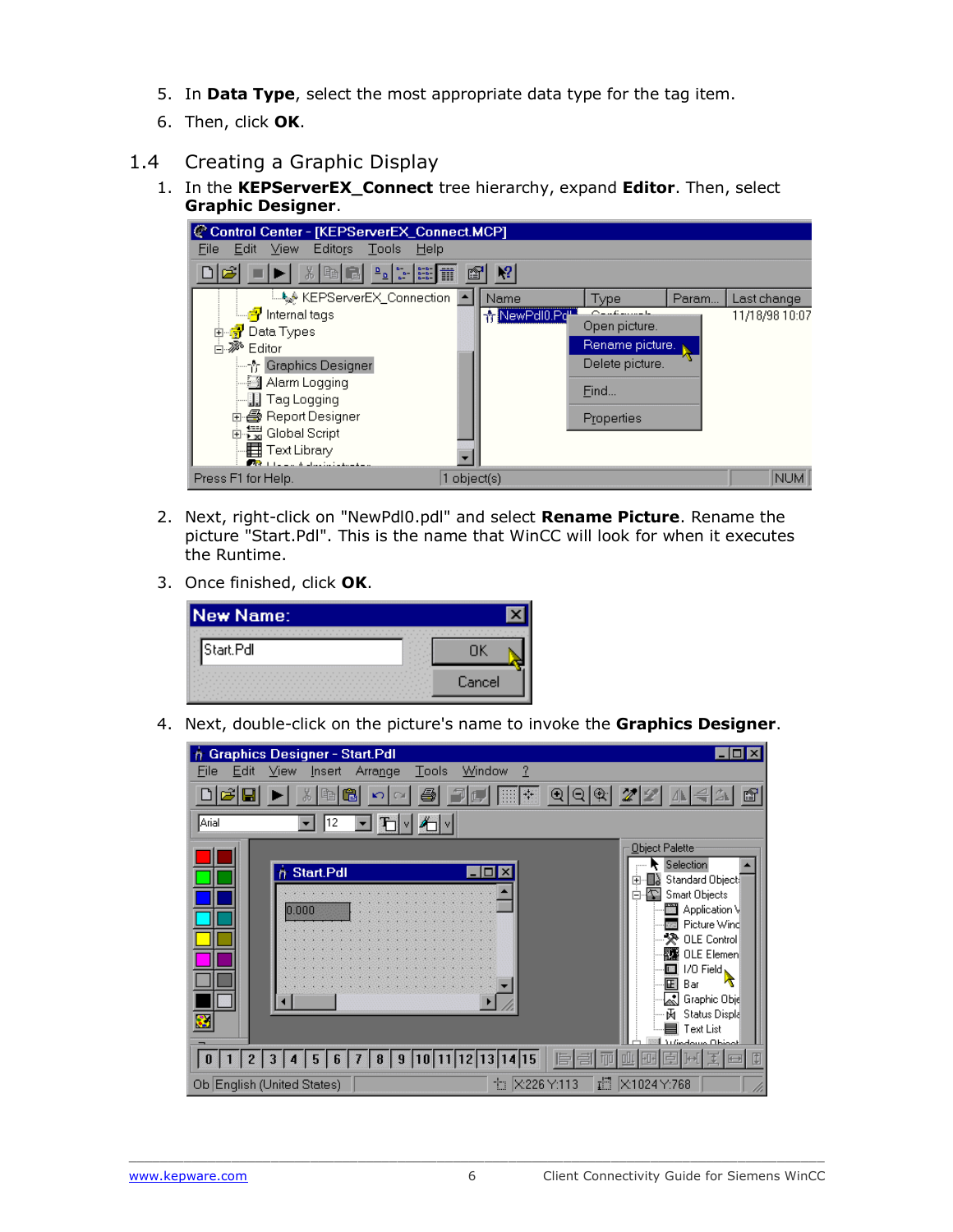- 5. In **Data Type**, select the most appropriate data type for the tag item.
- 6. Then, click **OK**.
- <span id="page-7-0"></span>1.4 Creating a Graphic Display
	- 1. In the **KEPServerEX\_Connect** tree hierarchy, expand **Editor**. Then, select **Graphic Designer**.



- 2. Next, right-click on "NewPdl0.pdl" and select **Rename Picture**. Rename the picture "Start.Pdl". This is the name that WinCC will look for when it executes the Runtime.
- 3. Once finished, click **OK**.

| <b>New Name:</b> |        |
|------------------|--------|
| ¶Start.Pdl       |        |
|                  | Cancel |

4. Next, double-click on the picture's name to invoke the **Graphics Designer**.

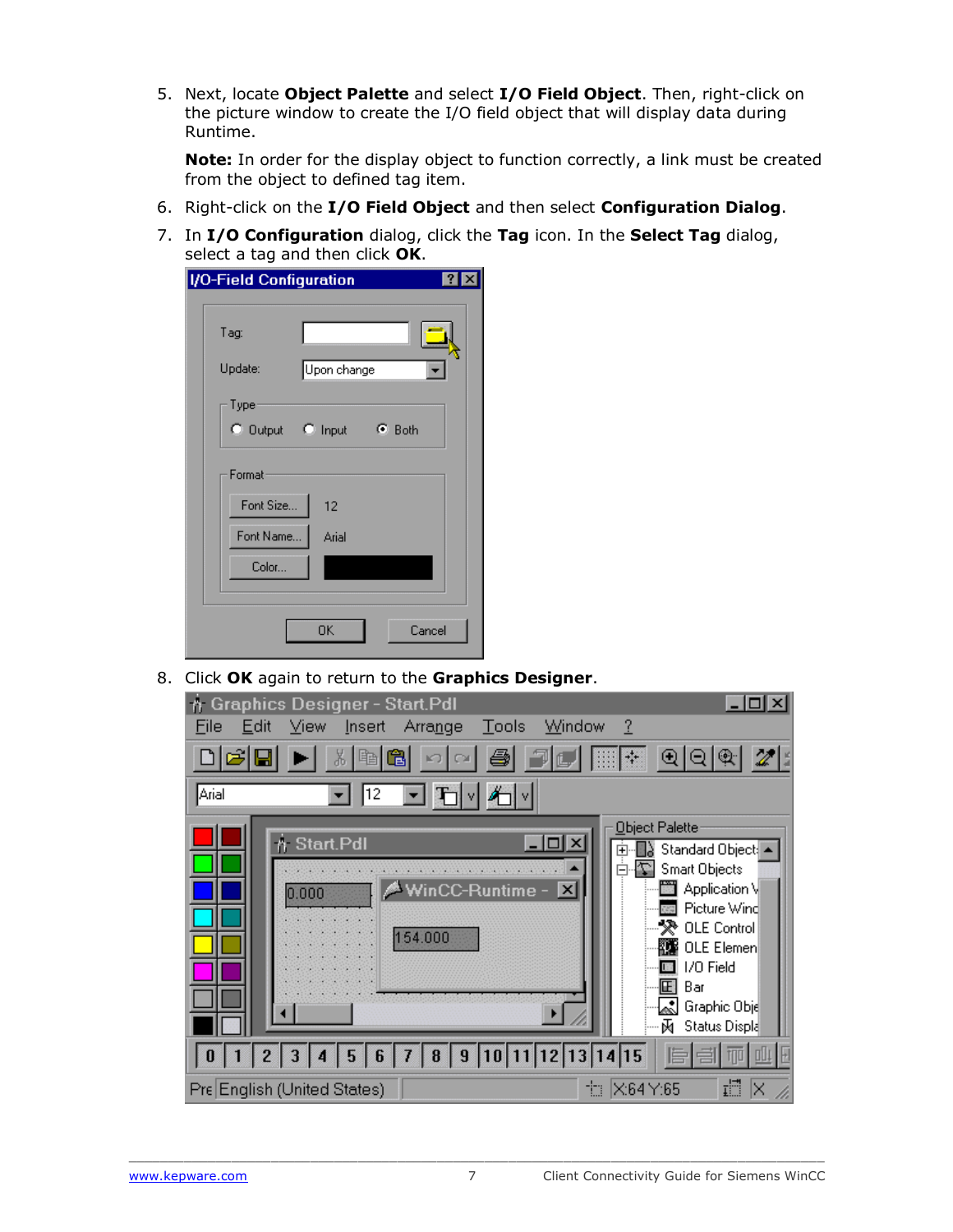5. Next, locate **Object Palette** and select **I/O Field Object**. Then, right-click on the picture window to create the I/O field object that will display data during Runtime.

**Note:** In order for the display object to function correctly, a link must be created from the object to defined tag item.

- 6. Right-click on the **I/O Field Object** and then select **Configuration Dialog**.
- 7. In **I/O Configuration** dialog, click the **Tag** icon. In the **Select Tag** dialog, select a tag and then click **OK**.

| <b>I/O-Field Configuration</b><br>$\vert$ ? $\vert$ |                         |  |  |  |
|-----------------------------------------------------|-------------------------|--|--|--|
|                                                     |                         |  |  |  |
| Tag:                                                |                         |  |  |  |
| Update:                                             | Upon change             |  |  |  |
| Type                                                |                         |  |  |  |
|                                                     | C Dutput C Input C Both |  |  |  |
| Format                                              |                         |  |  |  |
| Font Size                                           | 12                      |  |  |  |
| Font Name                                           | Arial                   |  |  |  |
| Color                                               |                         |  |  |  |
|                                                     |                         |  |  |  |
|                                                     | Cancel<br>0K            |  |  |  |
|                                                     |                         |  |  |  |

8. Click **OK** again to return to the **Graphics Designer**.

| A Graphics Designer - Start.Pdl                                                              | $ \Box$ $\times$                            |
|----------------------------------------------------------------------------------------------|---------------------------------------------|
| File<br>Edit<br>View<br>Insert<br>$\mathbf{\underline{T}}$ ools<br><b>Arrange</b>            | -?<br>Window                                |
| - 49<br>ାହାର<br>白<br>$\mathcal{D}$ $\Box$ $\mathbb{H}$ $\mathbb{H}$<br>晒<br><b>D</b> OI<br>⊕ |                                             |
| 그게<br>Arial<br>12                                                                            |                                             |
|                                                                                              | Object Palette                              |
| <b>n</b> Start.Pdl                                                                           | ×<br>Standard Object: $\blacktriangle$<br>中 |
|                                                                                              | <b>Smart Objects</b><br>Ė۰                  |
| WinCC-Runtime - X<br>0.000                                                                   | 圖 Application \                             |
|                                                                                              | <b>BE</b> Picture Wind<br>→ ※ OLE Control   |
| 154.000                                                                                      | ▓▓ OLE Elemen                               |
|                                                                                              | I/O Field                                   |
|                                                                                              | 圃<br>Bar                                    |
|                                                                                              | staphic Obje ا≸م                            |
|                                                                                              | 两<br>Status Displa                          |
| $1   2   3   4   5   6   7   8   9   10   11   12   13   14   15$<br>0 <sup>1</sup>          | 旨                                           |
| Pre English (United States)                                                                  | 疆<br><b>七 ×64</b> Y:65<br>ΙX                |